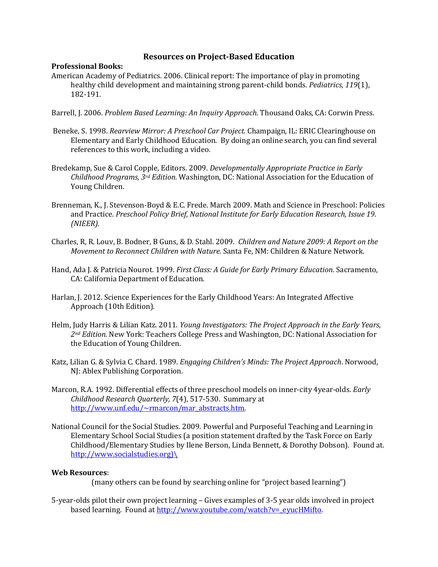## **Resources on Project-Based Education**

## **Professional Books:**

- American Academy of Pediatrics. 2006. Clinical report: The importance of play in promoting healthy child development and maintaining strong parent-child bonds. *Pediatrics, 119*(1), 182-191.
- Barrell, J. 2006. *Problem Based Learning: An Inquiry Approach.* Thousand Oaks, CA: Corwin Press.
- Beneke, S. 1998. *Rearview Mirror: A Preschool Car Project.* Champaign, IL: ERIC Clearinghouse on Elementary and Early Childhood Education. By doing an online search, you can find several references to this work, including a video.
- Bredekamp, Sue & Carol Copple, Editors. 2009. *Developmentally Appropriate Practice in Early Childhood Programs, 3rd Edition.* Washington, DC: National Association for the Education of Young Children.
- Brenneman, K., J. Stevenson-Boyd & E.C. Frede. March 2009. Math and Science in Preschool: Policies and Practice. *Preschool Policy Brief, National Institute for Early Education Research, Issue 19. (NIEER).*
- Charles, R, R. Louv, B. Bodner, B Guns, & D. Stahl. 2009. *Children and Nature 2009: A Report on the Movement to Reconnect Children with Nature.* Santa Fe, NM: Children & Nature Network.
- Hand, Ada J. & Patricia Nourot. 1999. *First Class: A Guide for Early Primary Education*. Sacramento, CA: California Department of Education.
- Harlan, J. 2012. Science Experiences for the Early Childhood Years: An Integrated Affective Approach (10th Edition).
- Helm, Judy Harris & Lilian Katz. 2011. *Young Investigators: The Project Approach in the Early Years, 2nd Edition.* New York: Teachers College Press and Washington, DC: National Association for the Education of Young Children.
- Katz, Lilian G. & Sylvia C. Chard. 1989. *Engaging Children's Minds: The Project Approach*. Norwood, NJ: Ablex Publishing Corporation.
- Marcon, R.A. 1992. Differential effects of three preschool models on inner-city 4year-olds. *Early Childhood Research Quarterly, 7*(4), 517-530. Summary at [http://www.unf.edu/~rmarcon/mar\\_abstracts.htm.](http://www.unf.edu/~rmarcon/mar_abstracts.htm)
- National Council for the Social Studies. 2009. Powerful and Purposeful Teaching and Learning in Elementary School Social Studies (a position statement drafted by the Task Force on Early Childhood/Elementary Studies by Ilene Berson, Linda Bennett, & Dorothy Dobson). Found at. [http://www.socialstudies.org\)\](http://www.socialstudies.org)/)

## **Web Resources**:

(many others can be found by searching online for "project based learning")

5-year-olds pilot their own project learning – Gives examples of 3-5 year olds involved in project based learning. Found at [http://www.youtube.com/watch?v=\\_eyucHMifto.](http://www.youtube.com/watch?v=_eyucHMifto)